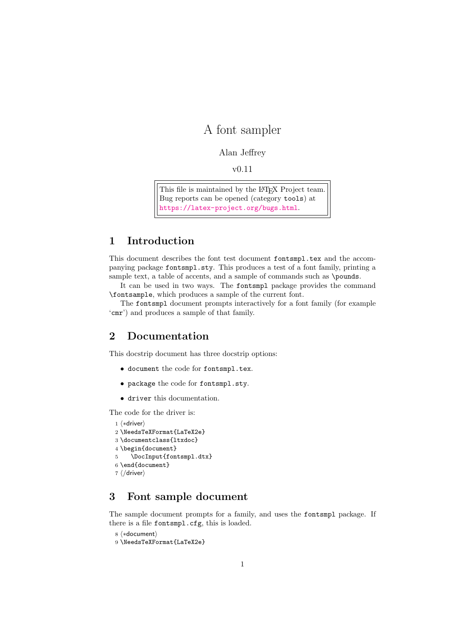# A font sampler

#### Alan Jeffrey

v0.11

This file is maintained by the L<sup>AT</sup>EX Project team. Bug reports can be opened (category tools) at <https://latex-project.org/bugs.html>.

### 1 Introduction

This document describes the font test document fontsmpl.tex and the accompanying package fontsmpl.sty. This produces a test of a font family, printing a sample text, a table of accents, and a sample of commands such as \pounds.

It can be used in two ways. The fontsmpl package provides the command \fontsample, which produces a sample of the current font.

The fontsmpl document prompts interactively for a font family (for example 'cmr') and produces a sample of that family.

## 2 Documentation

This docstrip document has three docstrip options:

- document the code for fontsmpl.tex.
- package the code for fontsmpl.sty.
- driver this documentation.

The code for the driver is:

```
1 ⟨∗driver⟩
```

```
2 \NeedsTeXFormat{LaTeX2e}
```

```
3 \documentclass{ltxdoc}
```

```
4 \begin{document}
```

```
5 \DocInput{fontsmpl.dtx}
```

```
6 \end{document}
```

```
7 ⟨/driver⟩
```
# 3 Font sample document

The sample document prompts for a family, and uses the fontsmpl package. If there is a file fontsmpl.cfg, this is loaded.

```
8 ⟨∗document⟩
```

```
9 \NeedsTeXFormat{LaTeX2e}
```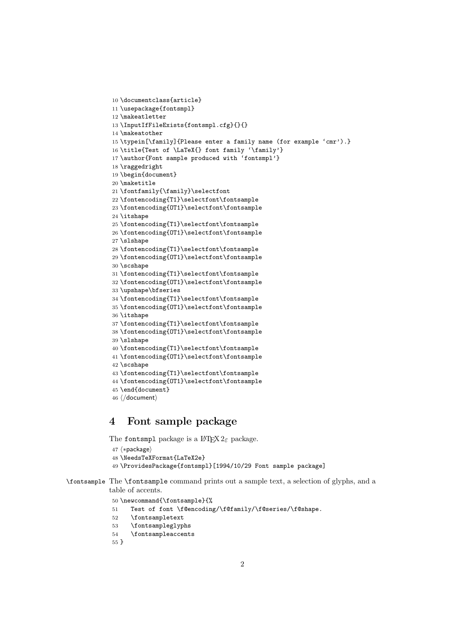```
10 \documentclass{article}
11 \usepackage{fontsmpl}
12 \makeatletter
13 \InputIfFileExists{fontsmpl.cfg}{}{}
14 \makeatother
15 \typein[\family]{Please enter a family name (for example 'cmr').}
16 \title{Test of \LaTeX{} font family '\family'}
17 \author{Font sample produced with 'fontsmpl'}
18 \raggedright
19 \begin{document}
20 \maketitle
21 \fontfamily{\family}\selectfont
22 \fontencoding{T1}\selectfont\fontsample
23 \fontencoding{OT1}\selectfont\fontsample
24 \itshape
25 \fontencoding{T1}\selectfont\fontsample
26 \fontencoding{OT1}\selectfont\fontsample
27 \slshape
28 \fontencoding{T1}\selectfont\fontsample
29 \fontencoding{OT1}\selectfont\fontsample
30 \scshape
31 \fontencoding{T1}\selectfont\fontsample
32 \fontencoding{OT1}\selectfont\fontsample
33 \upshape\bfseries
34 \fontencoding{T1}\selectfont\fontsample
35 \fontencoding{OT1}\selectfont\fontsample
36 \itshape
37 \fontencoding{T1}\selectfont\fontsample
38 \fontencoding{OT1}\selectfont\fontsample
39 \slshape
40 \fontencoding{T1}\selectfont\fontsample
41 \fontencoding{OT1}\selectfont\fontsample
42 \scshape
43 \fontencoding{T1}\selectfont\fontsample
44 \fontencoding{OT1}\selectfont\fontsample
45 \end{document}
46 ⟨/document⟩
```
### 4 Font sample package

The fontsmpl package is a  $\text{LATEX } 2_{\varepsilon}$  package.

```
47 ⟨∗package⟩
48 \NeedsTeXFormat{LaTeX2e}
```

```
49 \ProvidesPackage{fontsmpl}[1994/10/29 Font sample package]
```
\fontsample The \fontsample command prints out a sample text, a selection of glyphs, and a table of accents.

\newcommand{\fontsample}{%

- Test of font \f@encoding/\f@family/\f@series/\f@shape.
- \fontsampletext
- \fontsampleglyphs
- \fontsampleaccents

}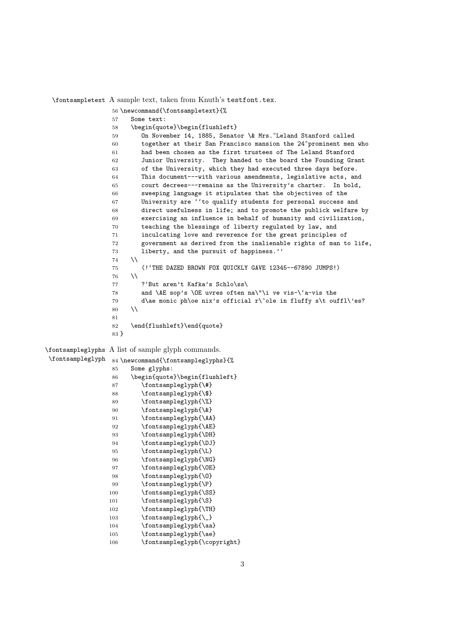\fontsampletext A sample text, taken from Knuth's testfont.tex.

 \newcommand{\fontsampletext}{% Some text: \begin{quote}\begin{flushleft} On November 14, 1885, Senator \& Mrs.~Leland Stanford called together at their San Francisco mansion the 24~prominent men who had been chosen as the first trustees of The Leland Stanford Junior University. They handed to the board the Founding Grant of the University, which they had executed three days before. This document---with various amendments, legislative acts, and court decrees---remains as the University's charter. In bold, sweeping language it stipulates that the objectives of the University are ''to qualify students for personal success and direct usefulness in life; and to promote the publick welfare by exercising an influence in behalf of humanity and civilization, teaching the blessings of liberty regulated by law, and inculcating love and reverence for the great principles of government as derived from the inalienable rights of man to life, liberty, and the pursuit of happiness.''  $74 \quad \text{N}$  (!'THE DAZED BROWN FOX QUICKLY GAVE 12345--67890 JUMPS!)  $76 \quad \text{N}$  ?'But aren't Kafka's Schlo\ss\ and \AE sop's \OE uvres often na\"\i ve vis-\'a-vis the d\ae monic ph\oe nix's official r\^ole in fluffy s\t ouffl\'es?  $80 \quad \text{N}$  \end{flushleft}\end{quote} } \fontsampleglyphs A list of sample glyph commands. \fontsampleglyph 84 \newcommand{\fontsampleglyphs}{% Some glyphs: \begin{quote}\begin{flushleft} \fontsampleglyph{\#} \fontsampleglyph{\\$} \fontsampleglyph{\%} \fontsampleglyph{\&} 91 \fontsampleglyph{\AA} 92 \fontsampleglyph{\AE} 93 \fontsampleglyph{\DH} \fontsampleglyph{\DJ} 95 \fontsampleglyph{\L} \fontsampleglyph{\NG} \fontsampleglyph{\OE} \fontsampleglyph{\O} \fontsampleglyph{\P} 100 \fontsampleglyph{\SS} 101 \fontsampleglyph{\S} 102 \fontsampleglyph{\TH} 103 \fontsampleglyph{\\_} 104 \fontsampleglyph{\aa} 105 \fontsampleglyph{\ae} 106 \fontsampleglyph{\copyright}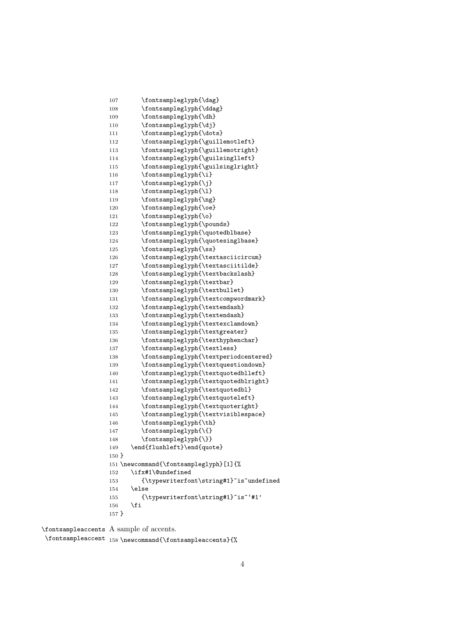```
107 \fontsampleglyph{\dag}
108 \fontsampleglyph{\ddag}
109 \fontsampleglyph{\dh}
110 \fontsampleglyph{\dj}
111 \fontsampleglyph{\dots}
112 \fontsampleglyph{\guillemotleft}
113 \fontsampleglyph{\guillemotright}
114 \fontsampleglyph{\guilsinglleft}
115 \fontsampleglyph{\guilsinglright}
116 \fontsampleglyph{\i}
117 \fontsampleglyph{\j}
118 \fontsampleglyph{\l}
119 \fontsampleglyph{\ng}
120 \fontsampleglyph{\oe}
121 \fontsampleglyph{\o}
122 \fontsampleglyph{\pounds}
123 \fontsampleglyph{\quotedblbase}
124 \fontsampleglyph{\quotesinglbase}
125 \fontsampleglyph{\ss}
126 \fontsampleglyph{\textasciicircum}
127 \fontsampleglyph{\textasciitilde}
128 \fontsampleglyph{\textbackslash}
129 \fontsampleglyph{\textbar}
130 \fontsampleglyph{\textbullet}
131 \fontsampleglyph{\textcompwordmark}
132 \fontsampleglyph{\textemdash}
133 \fontsampleglyph{\textendash}
134 \fontsampleglyph{\textexclamdown}
135 \fontsampleglyph{\textgreater}
136 \fontsampleglyph{\texthyphenchar}
137 \fontsampleglyph{\textless}
138 \fontsampleglyph{\textperiodcentered}
139 \fontsampleglyph{\textquestiondown}
140 \fontsampleglyph{\textquotedblleft}
141 \fontsampleglyph{\textquotedblright}
142 \fontsampleglyph{\textquotedbl}
143 \fontsampleglyph{\textquoteleft}
144 \fontsampleglyph{\textquoteright}
145 \fontsampleglyph{\textvisiblespace}
146 \fontsampleglyph{\th}
147 \fontsampleglyph{\{}
148 \fontsampleglyph{\}}
149 \end{flushleft}\end{quote}
150 }
151 \newcommand{\fontsampleglyph}[1]{%
152 \ifx#1\@undefined
153 {\typewriterfont\string#1}"is"undefined
154 \else
155 {\typewriterfont\string#1}~is~'#1'
156 \fi
157 }
```
\fontsampleaccents A sample of accents. \fontsampleaccent 158 \newcommand{\fontsampleaccents}{%